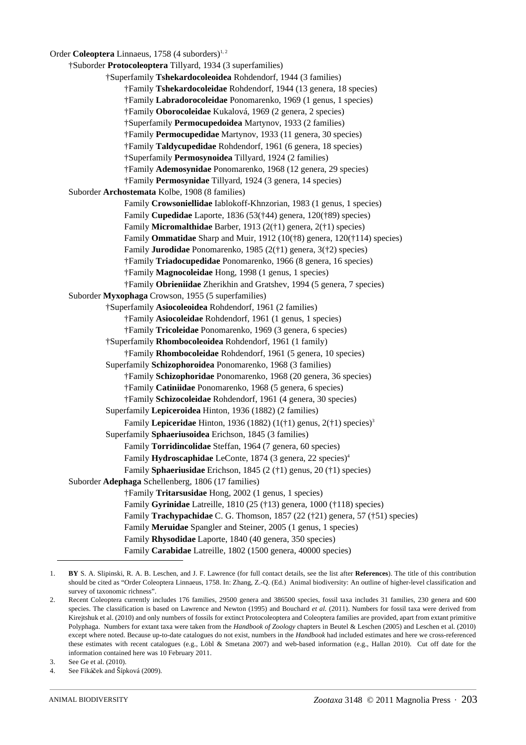Order **Coleoptera** Linnaeus, 1758 (4 suborders)<sup>1, 2</sup>

†Suborder **Protocoleoptera** Tillyard, 1934 (3 superfamilies) †Superfamily **Tshekardocoleoidea** Rohdendorf, 1944 (3 families) †Family **Tshekardocoleidae** Rohdendorf, 1944 (13 genera, 18 species) †Family **Labradorocoleidae** Ponomarenko, 1969 (1 genus, 1 species) †Family **Oborocoleidae** Kukalová, 1969 (2 genera, 2 species) †Superfamily **Permocupedoidea** Martynov, 1933 (2 families) †Family **Permocupedidae** Martynov, 1933 (11 genera, 30 species) †Family **Taldycupedidae** Rohdendorf, 1961 (6 genera, 18 species) †Superfamily **Permosynoidea** Tillyard, 1924 (2 families) †Family **Ademosynidae** Ponomarenko, 1968 (12 genera, 29 species) †Family **Permosynidae** Tillyard, 1924 (3 genera, 14 species) Suborder **Archostemata** Kolbe, 1908 (8 families) Family **Crowsoniellidae** Iablokoff-Khnzorian, 1983 (1 genus, 1 species) Family **Cupedidae** Laporte, 1836 (53(†44) genera, 120(†89) species) Family **Micromalthidae** Barber, 1913 (2(†1) genera, 2(†1) species) Family **Ommatidae** Sharp and Muir, 1912 (10(†8) genera, 120(†114) species) Family **Jurodidae** Ponomarenko, 1985 (2(†1) genera, 3(†2) species) †Family **Triadocupedidae** Ponomarenko, 1966 (8 genera, 16 species) †Family **Magnocoleidae** Hong, 1998 (1 genus, 1 species) †Family **Obrieniidae** Zherikhin and Gratshev, 1994 (5 genera, 7 species) Suborder **Myxophaga** Crowson, 1955 (5 superfamilies) †Superfamily **Asiocoleoidea** Rohdendorf, 1961 (2 families) †Family **Asiocoleidae** Rohdendorf, 1961 (1 genus, 1 species) †Family **Tricoleidae** Ponomarenko, 1969 (3 genera, 6 species) †Superfamily **Rhombocoleoidea** Rohdendorf, 1961 (1 family) †Family **Rhombocoleidae** Rohdendorf, 1961 (5 genera, 10 species) Superfamily **Schizophoroidea** Ponomarenko, 1968 (3 families) †Family **Schizophoridae** Ponomarenko, 1968 (20 genera, 36 species) †Family **Catiniidae** Ponomarenko, 1968 (5 genera, 6 species) †Family **Schizocoleidae** Rohdendorf, 1961 (4 genera, 30 species) Superfamily **Lepiceroidea** Hinton, 1936 (1882) (2 families) Family **Lepiceridae** Hinton, 1936 (1882) (1(†1) genus, 2(†1) species)3 Superfamily **Sphaeriusoidea** Erichson, 1845 (3 families) Family **Torridincolidae** Steffan, 1964 (7 genera, 60 species) Family **Hydroscaphidae** LeConte, 1874 (3 genera, 22 species)<sup>4</sup> Family **Sphaeriusidae** Erichson, 1845 (2 (†1) genus, 20 (†1) species) Suborder **Adephaga** Schellenberg, 1806 (17 families) †Family **Tritarsusidae** Hong, 2002 (1 genus, 1 species) Family **Gyrinidae** Latreille, 1810 (25 (†13) genera, 1000 (†118) species) Family **Trachypachidae** C. G. Thomson, 1857 (22 (†21) genera, 57 (†51) species) Family **Meruidae** Spangler and Steiner, 2005 (1 genus, 1 species) Family **Rhysodidae** Laporte, 1840 (40 genera, 350 species) Family **Carabidae** Latreille, 1802 (1500 genera, 40000 species)

<sup>1.</sup> **BY** S. A. Slipinski, R. A. B. Leschen, and J. F. Lawrence (for full contact details, see the list after **References**). The title of this contribution should be cited as "Order Coleoptera Linnaeus, 1758. In: Zhang, Z.-Q. (Ed.) Animal biodiversity: An outline of higher-level classification and survey of taxonomic richness".

<sup>2.</sup> Recent Coleoptera currently includes 176 families, 29500 genera and 386500 species, fossil taxa includes 31 families, 230 genera and 600 species. The classification is based on Lawrence and Newton (1995) and Bouchard *et al.* (2011). Numbers for fossil taxa were derived from [Kirejtshuk](http://www.zin.ru/animalia/coleoptera/eng/kirejts.htm) et al. (2010) and only numbers of fossils for extinct Protocoleoptera and Coleoptera families are provided, apart from extant primitive Polyphaga.Numbers for extant taxa were taken from the *Handbook of Zoology* chapters in Beutel & Leschen (2005) and Leschen et al. (2010) except where noted. Because up-to-date catalogues do not exist, numbers in the *Handbook* had included estimates and here we cross-referenced these estimates with recent catalogues (e.g., Löbl & Smetana 2007) and web-based information (e.g., Hallan 2010). Cut off date for the information contained here was 10 February 2011.

<sup>3.</sup> See Ge et al. (2010).

<sup>4.</sup> See Fikáček and Šípková (2009).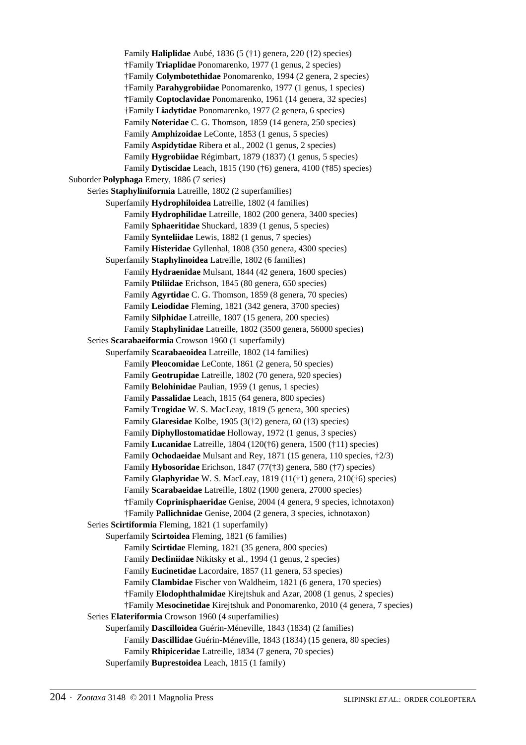Family **Haliplidae** Aubé, 1836 (5 (†1) genera, 220 (†2) species) †Family **Triaplidae** Ponomarenko, 1977 (1 genus, 2 species) †Family **Colymbotethidae** Ponomarenko, 1994 (2 genera, 2 species) †Family **Parahygrobiidae** Ponomarenko, 1977 (1 genus, 1 species) †Family **Coptoclavidae** Ponomarenko, 1961 (14 genera, 32 species) †Family **Liadytidae** Ponomarenko, 1977 (2 genera, 6 species) Family **Noteridae** C. G. Thomson, 1859 (14 genera, 250 species) Family **Amphizoidae** LeConte, 1853 (1 genus, 5 species) Family **Aspidytidae** Ribera et al., 2002 (1 genus, 2 species) Family **Hygrobiidae** Régimbart, 1879 (1837) (1 genus, 5 species) Family **Dytiscidae** Leach, 1815 (190 (†6) genera, 4100 (†85) species) Suborder **Polyphaga** Emery, 1886 (7 series) Series **Staphyliniformia** Latreille, 1802 (2 superfamilies) Superfamily **Hydrophiloidea** Latreille, 1802 (4 families) Family **Hydrophilidae** Latreille, 1802 (200 genera, 3400 species) Family **Sphaeritidae** Shuckard, 1839 (1 genus, 5 species) Family **Synteliidae** Lewis, 1882 (1 genus, 7 species) Family **Histeridae** Gyllenhal, 1808 (350 genera, 4300 species) Superfamily **Staphylinoidea** Latreille, 1802 (6 families) Family **Hydraenidae** Mulsant, 1844 (42 genera, 1600 species) Family **Ptiliidae** Erichson, 1845 (80 genera, 650 species) Family **Agyrtidae** C. G. Thomson, 1859 (8 genera, 70 species) Family **Leiodidae** Fleming, 1821 (342 genera, 3700 species) Family **Silphidae** Latreille, 1807 (15 genera, 200 species) Family **Staphylinidae** Latreille, 1802 (3500 genera, 56000 species) Series **Scarabaeiformia** Crowson 1960 (1 superfamily) Superfamily **Scarabaeoidea** Latreille, 1802 (14 families) Family **Pleocomidae** LeConte, 1861 (2 genera, 50 species) Family **Geotrupidae** Latreille, 1802 (70 genera, 920 species) Family **Belohinidae** Paulian, 1959 (1 genus, 1 species) Family **Passalidae** Leach, 1815 (64 genera, 800 species) Family **Trogidae** W. S. MacLeay, 1819 (5 genera, 300 species) Family **Glaresidae** Kolbe, 1905 (3(†2) genera, 60 (†3) species) Family **Diphyllostomatidae** Holloway, 1972 (1 genus, 3 species) Family **Lucanidae** Latreille, 1804 (120(†6) genera, 1500 (†11) species) Family **Ochodaeidae** Mulsant and Rey, 1871 (15 genera, 110 species, †2/3) Family **Hybosoridae** Erichson, 1847 (77(†3) genera, 580 (†7) species) Family **Glaphyridae** W. S. MacLeay, 1819 (11(†1) genera, 210(†6) species) Family **Scarabaeidae** Latreille, 1802 (1900 genera, 27000 species) †Family **Coprinisphaeridae** Genise, 2004 (4 genera, 9 species, ichnotaxon) †Family **Pallichnidae** Genise, 2004 (2 genera, 3 species, ichnotaxon) Series **Scirtiformia** Fleming, 1821 (1 superfamily) Superfamily **Scirtoidea** Fleming, 1821 (6 families) Family **Scirtidae** Fleming, 1821 (35 genera, 800 species) Family **Decliniidae** Nikitsky et al., 1994 (1 genus, 2 species) Family **Eucinetidae** Lacordaire, 1857 (11 genera, 53 species) Family **Clambidae** Fischer von Waldheim, 1821 (6 genera, 170 species) †Family **Elodophthalmidae** Kirejtshuk and Azar, 2008 (1 genus, 2 species) †Family **Mesocinetidae** Kirejtshuk and Ponomarenko, 2010 (4 genera, 7 species) Series **Elateriformia** Crowson 1960 (4 superfamilies) Superfamily **Dascilloidea** Guérin-Méneville, 1843 (1834) (2 families) Family **Dascillidae** Guérin-Méneville, 1843 (1834) (15 genera, 80 species) Family **Rhipiceridae** Latreille, 1834 (7 genera, 70 species)

Superfamily **Buprestoidea** Leach, 1815 (1 family)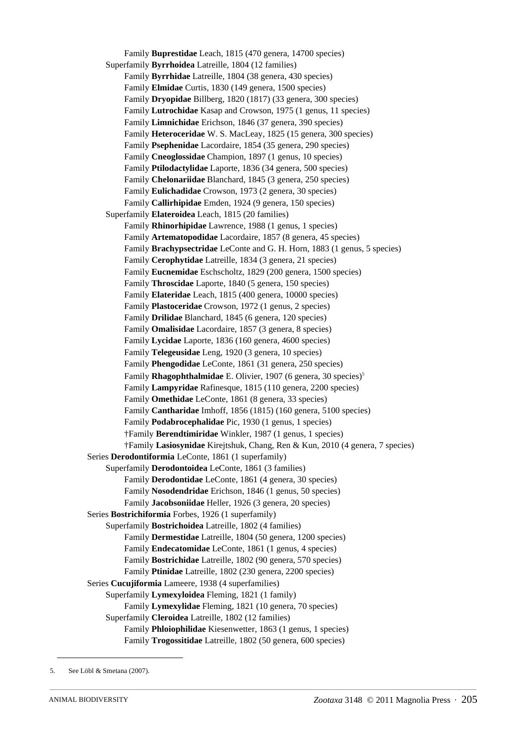Family **Buprestidae** Leach, 1815 (470 genera, 14700 species) Superfamily **Byrrhoidea** Latreille, 1804 (12 families) Family **Byrrhidae** Latreille, 1804 (38 genera, 430 species) Family **Elmidae** Curtis, 1830 (149 genera, 1500 species) Family **Dryopidae** Billberg, 1820 (1817) (33 genera, 300 species) Family **Lutrochidae** Kasap and Crowson, 1975 (1 genus, 11 species) Family **Limnichidae** Erichson, 1846 (37 genera, 390 species) Family **Heteroceridae** W. S. MacLeay, 1825 (15 genera, 300 species) Family **Psephenidae** Lacordaire, 1854 (35 genera, 290 species) Family **Cneoglossidae** Champion, 1897 (1 genus, 10 species) Family **Ptilodactylidae** Laporte, 1836 (34 genera, 500 species) Family **Chelonariidae** Blanchard, 1845 (3 genera, 250 species) Family **Eulichadidae** Crowson, 1973 (2 genera, 30 species) Family **Callirhipidae** Emden, 1924 (9 genera, 150 species) Superfamily **Elateroidea** Leach, 1815 (20 families) Family **Rhinorhipidae** Lawrence, 1988 (1 genus, 1 species) Family **Artematopodidae** Lacordaire, 1857 (8 genera, 45 species) Family **Brachypsectridae** LeConte and G. H. Horn, 1883 (1 genus, 5 species) Family **Cerophytidae** Latreille, 1834 (3 genera, 21 species) Family **Eucnemidae** Eschscholtz, 1829 (200 genera, 1500 species) Family **Throscidae** Laporte, 1840 (5 genera, 150 species) Family **Elateridae** Leach, 1815 (400 genera, 10000 species) Family **Plastoceridae** Crowson, 1972 (1 genus, 2 species) Family **Drilidae** Blanchard, 1845 (6 genera, 120 species) Family **Omalisidae** Lacordaire, 1857 (3 genera, 8 species) Family **Lycidae** Laporte, 1836 (160 genera, 4600 species) Family **Telegeusidae** Leng, 1920 (3 genera, 10 species) Family **Phengodidae** LeConte, 1861 (31 genera, 250 species) Family **Rhagophthalmidae** E. Olivier, 1907 (6 genera, 30 species)<sup>5</sup> Family **Lampyridae** Rafinesque, 1815 (110 genera, 2200 species) Family **Omethidae** LeConte, 1861 (8 genera, 33 species) Family **Cantharidae** Imhoff, 1856 (1815) (160 genera, 5100 species) Family **Podabrocephalidae** Pic, 1930 (1 genus, 1 species) †Family **Berendtimiridae** Winkler, 1987 (1 genus, 1 species) †Family **Lasiosynidae** Kirejtshuk, Chang, Ren & Kun, 2010 (4 genera, 7 species) Series **Derodontiformia** LeConte, 1861 (1 superfamily) Superfamily **Derodontoidea** LeConte, 1861 (3 families) Family **Derodontidae** LeConte, 1861 (4 genera, 30 species) Family **Nosodendridae** Erichson, 1846 (1 genus, 50 species) Family **Jacobsoniidae** Heller, 1926 (3 genera, 20 species) Series **Bostrichiformia** Forbes, 1926 (1 superfamily) Superfamily **Bostrichoidea** Latreille, 1802 (4 families) Family **Dermestidae** Latreille, 1804 (50 genera, 1200 species) Family **Endecatomidae** LeConte, 1861 (1 genus, 4 species) Family **Bostrichidae** Latreille, 1802 (90 genera, 570 species) Family **Ptinidae** Latreille, 1802 (230 genera, 2200 species) Series **Cucujiformia** Lameere, 1938 (4 superfamilies) Superfamily **Lymexyloidea** Fleming, 1821 (1 family) Family **Lymexylidae** Fleming, 1821 (10 genera, 70 species) Superfamily **Cleroidea** Latreille, 1802 (12 families) Family **Phloiophilidae** Kiesenwetter, 1863 (1 genus, 1 species) Family **Trogossitidae** Latreille, 1802 (50 genera, 600 species)

<sup>5.</sup> See Löbl & Smetana (2007).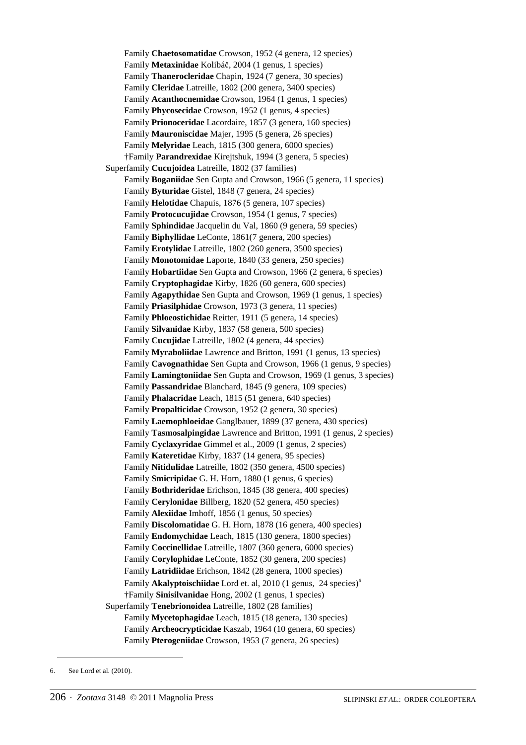Family **Chaetosomatidae** Crowson, 1952 (4 genera, 12 species) Family **Metaxinidae** Kolibáč, 2004 (1 genus, 1 species) Family **Thanerocleridae** Chapin, 1924 (7 genera, 30 species) Family **Cleridae** Latreille, 1802 (200 genera, 3400 species) Family **Acanthocnemidae** Crowson, 1964 (1 genus, 1 species) Family **Phycosecidae** Crowson, 1952 (1 genus, 4 species) Family **Prionoceridae** Lacordaire, 1857 (3 genera, 160 species) Family **Mauroniscidae** Majer, 1995 (5 genera, 26 species) Family **Melyridae** Leach, 1815 (300 genera, 6000 species) †Family **Parandrexidae** Kirejtshuk, 1994 (3 genera, 5 species) Superfamily **Cucujoidea** Latreille, 1802 (37 families) Family **Boganiidae** Sen Gupta and Crowson, 1966 (5 genera, 11 species) Family **Byturidae** Gistel, 1848 (7 genera, 24 species) Family **Helotidae** Chapuis, 1876 (5 genera, 107 species) Family **Protocucujidae** Crowson, 1954 (1 genus, 7 species) Family **Sphindidae** Jacquelin du Val, 1860 (9 genera, 59 species) Family **Biphyllidae** LeConte, 1861(7 genera, 200 species) Family **Erotylidae** Latreille, 1802 (260 genera, 3500 species) Family **Monotomidae** Laporte, 1840 (33 genera, 250 species) Family **Hobartiidae** Sen Gupta and Crowson, 1966 (2 genera, 6 species) Family **Cryptophagidae** Kirby, 1826 (60 genera, 600 species) Family **Agapythidae** Sen Gupta and Crowson, 1969 (1 genus, 1 species) Family **Priasilphidae** Crowson, 1973 (3 genera, 11 species) Family **Phloeostichidae** Reitter, 1911 (5 genera, 14 species) Family **Silvanidae** Kirby, 1837 (58 genera, 500 species) Family **Cucujidae** Latreille, 1802 (4 genera, 44 species) Family **Myraboliidae** Lawrence and Britton, 1991 (1 genus, 13 species) Family **Cavognathidae** Sen Gupta and Crowson, 1966 (1 genus, 9 species) Family **Lamingtoniidae** Sen Gupta and Crowson, 1969 (1 genus, 3 species) Family **Passandridae** Blanchard, 1845 (9 genera, 109 species) Family **Phalacridae** Leach, 1815 (51 genera, 640 species) Family **Propalticidae** Crowson, 1952 (2 genera, 30 species) Family **Laemophloeidae** Ganglbauer, 1899 (37 genera, 430 species) Family **Tasmosalpingidae** Lawrence and Britton, 1991 (1 genus, 2 species) Family **Cyclaxyridae** Gimmel et al., 2009 (1 genus, 2 species) Family **Kateretidae** Kirby, 1837 (14 genera, 95 species) Family **Nitidulidae** Latreille, 1802 (350 genera, 4500 species) Family **Smicripidae** G. H. Horn, 1880 (1 genus, 6 species) Family **Bothrideridae** Erichson, 1845 (38 genera, 400 species) Family **Cerylonidae** Billberg, 1820 (52 genera, 450 species) Family **Alexiidae** Imhoff, 1856 (1 genus, 50 species) Family **Discolomatidae** G. H. Horn, 1878 (16 genera, 400 species) Family **Endomychidae** Leach, 1815 (130 genera, 1800 species) Family **Coccinellidae** Latreille, 1807 (360 genera, 6000 species) Family **Corylophidae** LeConte, 1852 (30 genera, 200 species) Family **Latridiidae** Erichson, 1842 (28 genera, 1000 species) Family **Akalyptoischiidae** Lord et. al, 2010 (1 genus, 24 species)6 †Family **Sinisilvanidae** Hong, 2002 (1 genus, 1 species) Superfamily **Tenebrionoidea** Latreille, 1802 (28 families) Family **Mycetophagidae** Leach, 1815 (18 genera, 130 species) Family **Archeocrypticidae** Kaszab, 1964 (10 genera, 60 species) Family **Pterogeniidae** Crowson, 1953 (7 genera, 26 species)

<sup>6.</sup> See Lord et al. (2010).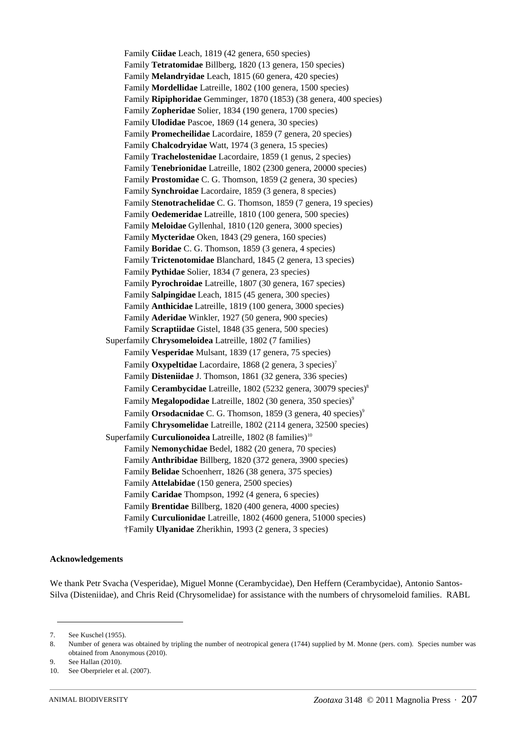Family **Ciidae** Leach, 1819 (42 genera, 650 species) Family **Tetratomidae** Billberg, 1820 (13 genera, 150 species) Family **Melandryidae** Leach, 1815 (60 genera, 420 species) Family **Mordellidae** Latreille, 1802 (100 genera, 1500 species) Family **Ripiphoridae** Gemminger, 1870 (1853) (38 genera, 400 species) Family **Zopheridae** Solier, 1834 (190 genera, 1700 species) Family **Ulodidae** Pascoe, 1869 (14 genera, 30 species) Family **Promecheilidae** Lacordaire, 1859 (7 genera, 20 species) Family **Chalcodryidae** Watt, 1974 (3 genera, 15 species) Family **Trachelostenidae** Lacordaire, 1859 (1 genus, 2 species) Family **Tenebrionidae** Latreille, 1802 (2300 genera, 20000 species) Family **Prostomidae** C. G. Thomson, 1859 (2 genera, 30 species) Family **Synchroidae** Lacordaire, 1859 (3 genera, 8 species) Family **Stenotrachelidae** C. G. Thomson, 1859 (7 genera, 19 species) Family **Oedemeridae** Latreille, 1810 (100 genera, 500 species) Family **Meloidae** Gyllenhal, 1810 (120 genera, 3000 species) Family **Mycteridae** Oken, 1843 (29 genera, 160 species) Family **Boridae** C. G. Thomson, 1859 (3 genera, 4 species) Family **Trictenotomidae** Blanchard, 1845 (2 genera, 13 species) Family **Pythidae** Solier, 1834 (7 genera, 23 species) Family **Pyrochroidae** Latreille, 1807 (30 genera, 167 species) Family **Salpingidae** Leach, 1815 (45 genera, 300 species) Family **Anthicidae** Latreille, 1819 (100 genera, 3000 species) Family **Aderidae** Winkler, 1927 (50 genera, 900 species) Family **Scraptiidae** Gistel, 1848 (35 genera, 500 species) Superfamily **Chrysomeloidea** Latreille, 1802 (7 families) Family **Vesperidae** Mulsant, 1839 (17 genera, 75 species) Family **Oxypeltidae** Lacordaire, 1868 (2 genera, 3 species)<sup>7</sup> Family **Disteniidae** J. Thomson, 1861 (32 genera, 336 species) Family **Cerambycidae** Latreille, 1802 (5232 genera, 30079 species)8 Family **Megalopodidae** Latreille, 1802 (30 genera, 350 species)<sup>9</sup> Family **Orsodacnidae** C. G. Thomson, 1859 (3 genera, 40 species)<sup>9</sup> Family **Chrysomelidae** Latreille, 1802 (2114 genera, 32500 species) Superfamily **Curculionoidea** Latreille, 1802 (8 families)<sup>10</sup> Family **Nemonychidae** Bedel, 1882 (20 genera, 70 species) Family **Anthribidae** Billberg, 1820 (372 genera, 3900 species) Family **Belidae** Schoenherr, 1826 (38 genera, 375 species) Family **Attelabidae** (150 genera, 2500 species) Family **Caridae** Thompson, 1992 (4 genera, 6 species) Family **Brentidae** Billberg, 1820 (400 genera, 4000 species) Family **Curculionidae** Latreille, 1802 (4600 genera, 51000 species) †Family **Ulyanidae** Zherikhin, 1993 (2 genera, 3 species)

## **Acknowledgements**

We thank Petr Svacha (Vesperidae), Miguel Monne (Cerambycidae), Den Heffern (Cerambycidae), Antonio Santos-Silva (Disteniidae), and Chris Reid (Chrysomelidae) for assistance with the numbers of chrysomeloid families. RABL

<sup>7.</sup> See Kuschel (1955).

<sup>8.</sup> Number of genera was obtained by tripling the number of neotropical genera (1744) supplied by M. Monne (pers. com). Species number was obtained from Anonymous (2010).

<sup>9.</sup> See Hallan (2010).

<sup>10.</sup> See Oberprieler et al. (2007).